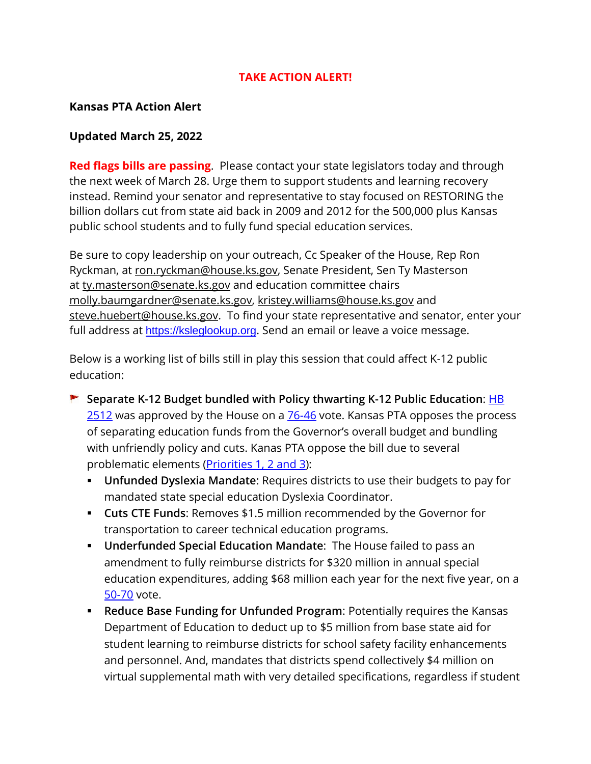## **TAKE ACTION ALERT!**

## **Kansas PTA Action Alert**

## **Updated March 25, 2022**

**Red flags bills are passing**. Please contact your state legislators today and through the next week of March 28. Urge them to support students and learning recovery instead. Remind your senator and representative to stay focused on RESTORING the billion dollars cut from state aid back in 2009 and 2012 for the 500,000 plus Kansas public school students and to fully fund special education services.

Be sure to copy leadership on your outreach, Cc Speaker of the House, Rep Ron Ryckman, at [ron.ryckman@house.ks.gov,](mailto:ron.ryckman@house.ks.gov) Senate President, Sen Ty Masterson at [ty.masterson@senate.ks.gov](mailto:ty.masterson@senate.ks.gov) and education committee chairs [molly.baumgardner@senate.ks.gov,](mailto:molly.baumgardner@senate.ks.gov) [kristey.williams@house.ks.gov](mailto:kristey.williams@house.ks.gov) and [steve.huebert@house.ks.gov.](mailto:steve.huebert@house.ks.gov) To find your state representative and senator, enter your full address at [https://ksleglookup.org](https://ksleglookup.org/). Send an email or leave a voice message.

Below is a working list of bills still in play this session that could affect K-12 public education:

- **Separate K-12 Budget bundled with Policy thwarting K-12 Public Education**: [HB](http://www.kslegislature.org/li/b2021_22/measures/hb2512/)  [2512](http://www.kslegislature.org/li/b2021_22/measures/hb2512/) was approved by the House on a [76-46](http://www.kslegislature.org/li/b2021_22/measures/vote_view/je_20220323102439_318998/) vote. Kansas PTA opposes the process of separating education funds from the Governor's overall budget and bundling with unfriendly policy and cuts. Kanas PTA oppose the bill due to several problematic elements (*Priorities 1, 2 and 3*):
	- **Unfunded Dyslexia Mandate**: Requires districts to use their budgets to pay for mandated state special education Dyslexia Coordinator.
	- **Cuts CTE Funds**: Removes \$1.5 million recommended by the Governor for transportation to career technical education programs.
	- **Underfunded Special Education Mandate**: The House failed to pass an amendment to fully reimburse districts for \$320 million in annual special education expenditures, adding \$68 million each year for the next five year, on a [50-70](http://www.kslegislature.org/li/b2021_22/measures/vote_view/je_20220322143106_653279/) vote.
	- **Reduce Base Funding for Unfunded Program**: Potentially requires the Kansas Department of Education to deduct up to \$5 million from base state aid for student learning to reimburse districts for school safety facility enhancements and personnel. And, mandates that districts spend collectively \$4 million on virtual supplemental math with very detailed specifications, regardless if student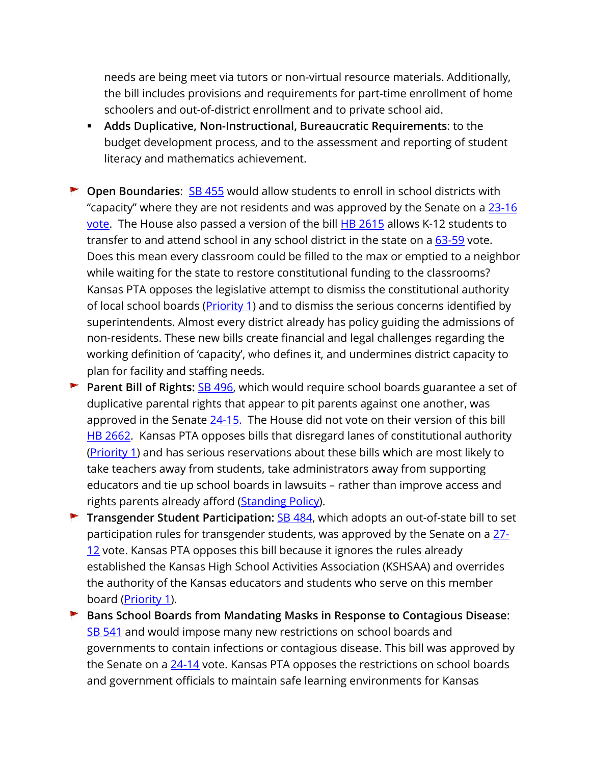needs are being meet via tutors or non-virtual resource materials. Additionally, the bill includes provisions and requirements for part-time enrollment of home schoolers and out-of-district enrollment and to private school aid.

- **Adds Duplicative, Non-Instructional, Bureaucratic Requirements**: to the budget development process, and to the assessment and reporting of student literacy and mathematics achievement.
- **Cia Boundaries:** [SB 455](http://www.kslegislature.org/li/b2021_22/measures/sb455/) would allow students to enroll in school districts with "capacity" where they are not residents and was approved by the Senate on a [23-16](http://www.kslegislature.org/li/b2021_22/measures/vote_view/je_20220322110138_569607/)  [vote.](http://www.kslegislature.org/li/b2021_22/measures/vote_view/je_20220322110138_569607/) The House also passed a version of the bill **HB 2615** allows K-12 students to transfer to and attend school in any school district in the state on a  $63-59$  vote. Does this mean every classroom could be filled to the max or emptied to a neighbor while waiting for the state to restore constitutional funding to the classrooms? Kansas PTA opposes the legislative attempt to dismiss the constitutional authority of local school boards (*Priority 1*) and to dismiss the serious concerns identified by superintendents. Almost every district already has policy guiding the admissions of non-residents. These new bills create financial and legal challenges regarding the working definition of 'capacity', who defines it, and undermines district capacity to plan for facility and staffing needs.
- **Parent Bill of Rights:** [SB 496,](http://www.kslegislature.org/li/b2021_22/measures/sb496/) which would require school boards guarantee a set of duplicative parental rights that appear to pit parents against one another, was approved in the Senate [24-15.](http://www.kslegislature.org/li/b2021_22/measures/vote_view/je_20220322110307_544306/) The House did not vote on their version of this bill [HB 2662.](http://www.kslegislature.org/li/b2021_22/measures/hb2662/) Kansas PTA opposes bills that disregard lanes of constitutional authority [\(Priority 1\)](https://kansas-pta.org/advocacy/legislative-priorities/) and has serious reservations about these bills which are most likely to take teachers away from students, take administrators away from supporting educators and tie up school boards in lawsuits – rather than improve access and rights parents already afford (**Standing Policy**).
- **Transgender Student Participation:** [SB 484,](http://www.kslegislature.org/li/b2021_22/measures/sb484/) which adopts an out-of-state bill to set participation rules for transgender students, was approved by the Senate on a [27-](http://www.kslegislature.org/li/b2021_22/measures/vote_view/je_20220322110223_089941/) [12](http://www.kslegislature.org/li/b2021_22/measures/vote_view/je_20220322110223_089941/) vote. Kansas PTA opposes this bill because it ignores the rules already established the Kansas High School Activities Association (KSHSAA) and overrides the authority of the Kansas educators and students who serve on this member board [\(Priority 1\)](https://kansas-pta.org/advocacy/legislative-priorities/).
- **Bans School Boards from Mandating Masks in Response to Contagious Disease**: [SB 541](http://www.kslegislature.org/li/b2021_22/measures/sb541/) and would impose many new restrictions on school boards and governments to contain infections or contagious disease. This bill was approved by the Senate on a  $24$ -14 vote. Kansas PTA opposes the restrictions on school boards and government officials to maintain safe learning environments for Kansas